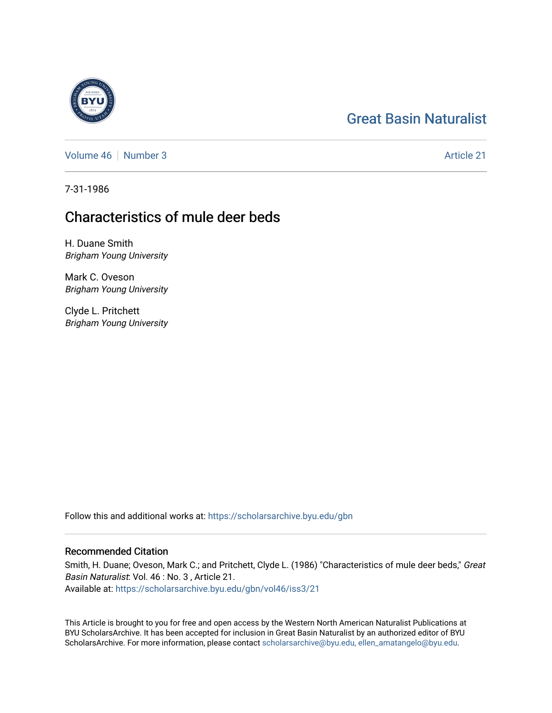# [Great Basin Naturalist](https://scholarsarchive.byu.edu/gbn)

[Volume 46](https://scholarsarchive.byu.edu/gbn/vol46) [Number 3](https://scholarsarchive.byu.edu/gbn/vol46/iss3) Article 21

7-31-1986

# Characteristics of mule deer beds

H. Duane Smith Brigham Young University

Mark C. Oveson Brigham Young University

Clyde L. Pritchett Brigham Young University

Follow this and additional works at: [https://scholarsarchive.byu.edu/gbn](https://scholarsarchive.byu.edu/gbn?utm_source=scholarsarchive.byu.edu%2Fgbn%2Fvol46%2Fiss3%2F21&utm_medium=PDF&utm_campaign=PDFCoverPages) 

## Recommended Citation

Smith, H. Duane; Oveson, Mark C.; and Pritchett, Clyde L. (1986) "Characteristics of mule deer beds," Great Basin Naturalist: Vol. 46 : No. 3 , Article 21. Available at: [https://scholarsarchive.byu.edu/gbn/vol46/iss3/21](https://scholarsarchive.byu.edu/gbn/vol46/iss3/21?utm_source=scholarsarchive.byu.edu%2Fgbn%2Fvol46%2Fiss3%2F21&utm_medium=PDF&utm_campaign=PDFCoverPages) 

This Article is brought to you for free and open access by the Western North American Naturalist Publications at BYU ScholarsArchive. It has been accepted for inclusion in Great Basin Naturalist by an authorized editor of BYU ScholarsArchive. For more information, please contact [scholarsarchive@byu.edu, ellen\\_amatangelo@byu.edu.](mailto:scholarsarchive@byu.edu,%20ellen_amatangelo@byu.edu)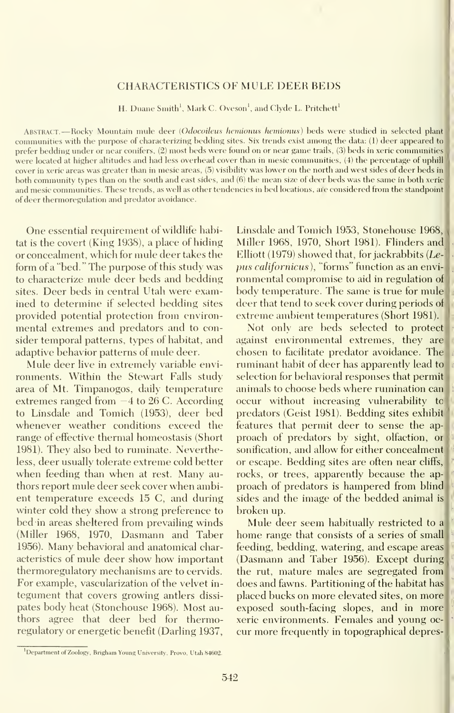## CHARACTERISTICS OF MULE DEER REDS

H. Duane Smith'. Mark C. Oveson', and Clyde L. Pritchett'

Abstract. —Rocky Mountain mule deer (Odocoileus hemionus hemionus) beds were studied in selected plant communities with the purpose of characterizing bedding sites. Six trends exist among the data: (1) deer appeared to prefer bedding under or near conifers, (2) most beds were found on or near game trails, (3) beds in xeric communities were located at higher altitudes and had less overhead cover than in mesic communities, (4) the percentage of uphill cover in xeric areas was greater than in mesic areas, (5) visibility was lower on the north and west sides of deer beds in both community types than on the south and east sides, and (6) the mean size of deer beds was the same in both xeric and mesic communities. These trends, as well as other tendencies in bed locations, ai'e considered from the standpoint of deer thermoregulation and predator avoidance.

One essential requirement of wildlife habitat is the covert (King 1938), a place of hiding or concealment, which for mule deer takes the form of a "bed." The purpose of this study was to characterize mule deer beds and bedding sites. Deer beds in central Utah were examined to determine if selected bedding sites provided potential protection from environ mental extremes and predators and to consider temporal patterns, types of habitat, and adaptive behavior patterns of mule deer.

Mule deer live in extremely variable envi ronments. Within the Stewart Falls study area of Mt. Timpanogos, daily temperature extremes ranged from —4 to 26 C. According to Linsdale and Tomich (1953), deer bed whenever weather conditions exceed the range of effective thermal homeostasis (Short 1981). They also bed to ruminate. Nevertheless, deer usually tolerate extreme cold better when feeding than when at rest. Many authors report mule deer seek cover when ambient temperature exceeds 15 C, and during winter cold they show a strong preference to bed in areas sheltered from prevailing winds (Miller 1968, 1970, Dasmann and Taber 1956). Many behavioral and anatomical characteristics of mule deer show how important thermoregulatory mechanisms are to cervids. For example, vascularization of the velvet in tegument that covers growing antlers dissi pates body heat (Stonehouse 1968). Most authors agree that deer bed for thermoregulatory or energetic benefit (Darling 1937,

Linsdale and Tomich 1953, Stonehouse 1968, Miller 1968, 1970, Short 1981). Flinders and Elliott (1979) showed that, for jackrabbits {Le pus californicus), "forms" function as an envi ronmental compromise to aid in regulation of body temperatiue. The same is true for mule deer that tend to seek cover during periods of extreme ambient temperatures (Short 1981).

Not only are beds selected to protect against environmental extremes, they are chosen to facilitate predator avoidance. The ruminant habit of deer has apparently lead to selection for behavioral responses that permit animals to choose beds where rumination can occur without increasing vulnerability to predators (Geist 1981). Bedding sites exhibit features that permit deer to sense the ap proach of predators by sight, olfaction, or sonification, and allow for either concealment or escape. Bedding sites are often near cliffs, rocks, or trees, apparently because the ap proach of predators is hampered from blind sides and the image of the bedded animal is broken up.

Mule deer seem habitually restricted to <sup>a</sup> home range that consists of a series of small feeding, bedding, watering, and escape areas (Dasmann and Taber 1956). Except during the rut, mature males are segregated from does and fawns. Partitioning of the habitat has placed bucks on more elevated sites, on more exposed south-facing slopes, and in more xeric environments. Females and young oc cur more frequently in topographical depres-

Department of Zoology, Brigham Young University, Provo, Utah 84602.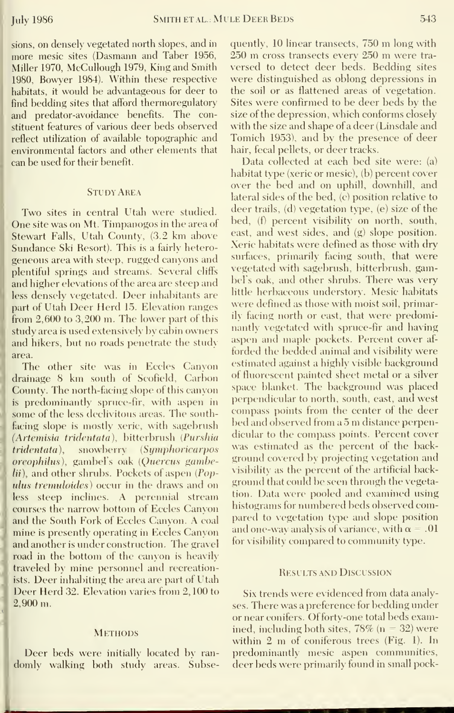sions, on densely vegetated north slopes, and in more mesic sites (Dasmann and Taber 1956, Miller 1970, McCullough 1979, King and Smith 1980. Bowver 1984). Within these respective habitats, it would be advantageous for deer to find bedding sites that afford thermoregulatory and predator-avoidance benefits. The constituent features of various deer beds observed reflect utilization of available topographic and environmental factors and other elements that can be used for their benefit.

## Study Area

Two sites in central Utah were studied. One site was on Mt. Timpanogos in the area of Stewart Falls, Utah County, (3.2 km above Sundance Ski Resort). This is a fairly heterogeneous area with steep, rugged canyons and plentiful springs and streams. Several cliffs and higher elevations of the area are steep and less densely vegetated. Deer inhabitants are part of Utah Deer Herd 15. Elevation ranges fiom 2,600 to 3,200 m. The lower part of this study area is used extensively by cabin owners and hikers, but no roads penetrate the study area.

The other site was in Eccles Canyon drainage <sup>8</sup> km south of Scofield, Carbon County. The north-facing slope of this canyon is predominantly spruce-fir, with aspen in some of the less declivitous areas. The southfacing slope is mostly xeric, with sagebrush (Artemisia tridentata), bitterbrush (Purshia tridentata), snowberry (Symphoricarpos oreophilus), gambel's oak (Quercus gambelii), and other shrubs. Pockets of aspen (Populus tremuloides) occur in the draws and on less steep inclines. A perennial stream courses the narrow bottom of Eccles C^anxon and the South Fork of Eccles Canyon. A coal mine is presently operating in Eccles Canyon and another is under construction. The gravel road in the bottom of the canvon is heavily traveled by mine personnel and recreationists. Deer inhabiting the area are part of Utah Deer Herd 32. Elevation varies from 2, 100 to 2,900 m.

### **METHODS**

Deer beds were initially located by ran domly walking both studv areas. Subsequently, <sup>10</sup> linear transects, <sup>750</sup> m long with <sup>250</sup> m cross transects every <sup>250</sup> m were tra versed to detect deer beds. Bedding sites were distinguished as oblong depressions in the soil or as flattened areas of vegetation. Sites were confirmed to be deer beds by the size of the depression, which conforms closely with the size and shape of a deer (Linsdale and Tomich 1953), and by the presence of deer hair, fecal pellets, or deer tracks.

Data collected at each bed site were: (a) habitat type (xeric or mesic), (b) percent cover over the bed and on uphill, downhill, and lateral sides of the bed, (c) position relative to deer trails, (d) vegetation type, (e) size of the bed, (f) percent visibility on north, south, east, and west sides, and (g) slope position. Xeric habitats were defined as those with dry surfaces, primarily facing south, that were \egetated with sagebrush, bitterbrush, gambel's oak, and other shrubs. There was very little herbaceous understory. Mesic habitats were defined as those with moist soil, primarily facing north or east, that were predominantly vegetated with spruce-fir and having aspen and maple pockets. Percent cover af forded the bedded animal and visibility were estimated against a highly visible background of fluorescent painted sheet metal or a silver space blanket. The background was placed perpendicular to north, south, east, and west compass points from the center of the deer bed and observed from <sup>a</sup> <sup>5</sup> m distance perpendicular to the compass points. Percent cover was estimated as the percent of the back ground covered by projecting vegetation and visibility as the percent of the artificial background that could be seen through the vegetation. Data were pooled and examined using histograms for numbered beds observed compared to vegetation type and slope position and one-way analysis of variance, with  $\alpha = .01$ for visibility compared to community type.

## Results and Discussion

Six trends were evidenced from data analyses. There was a preference for bedding under or near conifers. Offorty-one total beds examined, including both sites,  $78\%$  (n = 32) were within <sup>2</sup> m of coniferous trees (Fig. 1). In predominantly mesic aspen communities, deer beds were primarily found in small pock-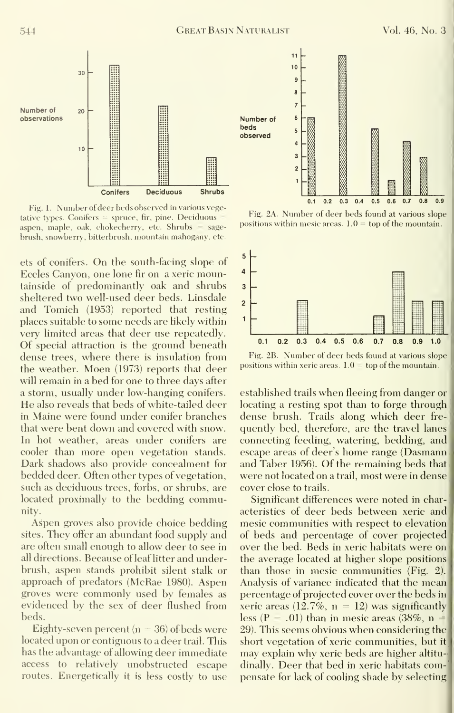

Fig. 1. Number of deer beds observed in various vegetative types. Conifers  $=$  spruce, fir, pine. Deciduous aspen, maple, oak, chokecherry, etc. Shrubs = sage brush, snowberry, bitterbrush, mountain mahogany, etc.

ets of conifers. On the south-facing slope of  $\frac{5}{2}$ Eccles Canyon, one lone fir on a xeric mountainside of predominantly oak and shrubs sheltered two well-used deer beds. Linsdale and Tomich  $(1953)$  reported that resting places suitable to some needs are likely within very limited areas that deer use repeatedly. Of special attraction is the ground beneath dense trees, where there is insulation from the weather. Moen (1973) reports that deer will remain in a bed for one to three days after a storm, usually under low-hanging conifers. He also reveals that beds of white-tailed deer in Maine were found under conifer branches that were bent down and covered with snow. In hot weather, areas under conifers are cooler than more open vegetation stands. Dark shadows also provide concealment for bedded deer. Often other types of vegetation, such as deciduous trees, forbs, or shrubs, are located proximally to the bedding community.

Aspen groves also provide choice bedding sites. They offer an abundant food supply and are often small enough to allow deer to see in all directions. Because of leaf litter and underbrush, aspen stands prohibit silent stalk or approach of predators (McRae 1980). Aspen groves were commonly used by females as evidenced by the sex of deer flushed from beds.

Eighty-seven percent ( $n = 36$ ) of beds were located upon or contiguous to a deer trail. This has the advantage of allowing deer immediate access to relatively unobstructed escape routes. Energetically it is less costly to use



Fig. 2A. Number of deer beds found at various slope positions within mesic areas.  $1.0 =$  top of the mountain.



Fig. 2B. Number of deer beds found at various slope positions within xeric areas.  $1.0 -$  top of the mountain.

established trails when fleeing from danger or locating a resting spot than to forge through dense brush. Trails along which deer fre quently bed, therefore, are the travel lanes connecting feeding, watering, bedding, and escape areas of deer's home range (Dasmann and Taber 1956). Of the remaining beds that were not located on a trail, most were in dense cover close to trails.

Significant differences were noted in characteristics of deer beds between xeric and mesic communities with respect to elevation of beds and percentage of cover projected over the bed. Beds in xeric habitats were on the average located at higher slope positions than those in mesic communities (Fig. 2). Analysis of variance indicated that the mean percentage of projected cover over the beds in xeric areas (12.7%,  $n = 12$ ) was significantly less (P = .01) than in mesic areas (38%, n = 29). This seems obvious when considering the short vegetation of xeric communities, but it may explain why xeric beds are higher altitu dinally. Deer that bed in xeric habitats compensate for lack of cooling shade by selecting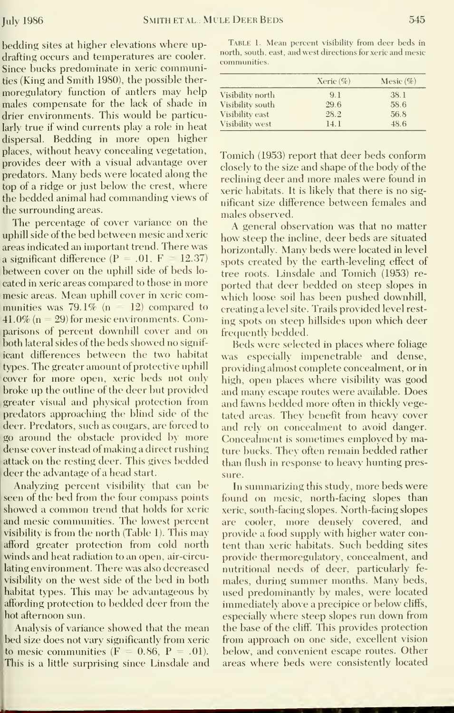bedding sites at higher elevations where updrafting occurs and temperatures are cooler. Since bucks predominate in xeric communities (King and Smith 1980), the possible ther moregulatory function of antlers may help males compensate for the lack of shade in drier environments. This would be particularly true if wind currents play a role in heat dispersal. Bedding in more open higher places, without heavy concealing vegetation, Tomich (1953) report that deer beds conform provides deer with a visual advantage over<br>closely to the size and shape of the body of the predators. Many beds were located along the reclining deer and more males were found in top of a ridge or just below the crest, where exercise habitats. It is likely that there is no sigthe bedded animal had commanding views of inficant size difference between females and the surrounding areas.

The percentage of cover variance on the  $A$  general observation was that no matter uphill side of the bed between mesic and xeric how steep the incline, deer beds are situated areas indicated an important trend. There was horizontally. Many beds were located in level a significant difference  $(P = .01, F = 12.37)$  spots created by the earth-leveling effect of between cover on the uphill side of beds lo-<br>tree roots. Linsdale and Tomich (1953) recated in xeric areas compared to those in more ported that deer bedded on steep slopes in mesic areas. Mean uphill cover in xeric communities was 79.1% ( $n = 12$ ) compared to ereating a level site. Trails provided level rest- $41.0\%$  (n = 29) for mesic environments. Comparisons of percent downhill cover and on frequently bedded. both lateral sides of the beds showed no signif icant differences between the two habitat was especially impenetrable and dense, types. The greater amount of protective uphill providing almost complete concealment, or in cover for more open, xeric beds not only high, open places where visibility was good broke up the outline of the deer but provided and many escape routes were available. Does greater visual and physical protection from and fawns bedded more often in thickly vegepredators approaching the blind side of the tated areas. They benefit from heavy cover deer. Predators, such as cougars, are forced to and rely on concealment to avoid danger. go around the obstacle provided by more Concealment is sometimes employed by madense cover instead of making a direct rushing ture bucks. They often remain bedded rather attack on the resting deer. This gives bedded than flush in response to heavy hunting presdeer the advantage of a head start.

seen of the bed from the four compass points found on mesic, north-facing slopes than showed a common trend that holds for xeric veric, south-facing slopes. North-facing slopes and mesic communities. The lowest percent are cooler, more densely covered, and visibility is from the north (Table 1). This may provide a food supply with higher water conafford greater protection from cold north tent than xeric habitats. Such bedding sites winds and heat radiation to an open, air-circulating environment. There was also decreased nutritional needs of deer, particularly fe-<br>visibility on the west side of the bed in both males, during summer months. Many beds, visibility on the west side of the bed in both habitat types. This may be advantageous by used predominantly by males, were located affording protection to bedded deer from the immediately above a precipice or below cliffs,<br>hot afternoon sun. especially where steep slopes run down from hot afternoon sun.

bed size does not vary significantly from xeric — from approach on one-side, excellent vision<br>to mesic communities (F = 0.86, P = .01). — below, and convenient escape routes. Other to mesic communities  $(F = 0.86, P = .01)$ . below, and convenient escape routes. Other This is a little surprising since Linsdale and areas where beds were consistently located This is a little surprising since Linsdale and

Table 1. Mean percent visibility from deer beds in north, south, east, and west directions for xeric and mesic communities.

|                  | Xeric $(\%$ | Mesic $(\%)$ |
|------------------|-------------|--------------|
| Visibility north | 9.1         | 38.1         |
| Visibility south | 29.6        | 58.6         |
| Visibility east  | 28.2        | 56.8         |
| Visibility west  | 14.1        | 48.6         |

males observed.

which loose soil has been pushed downhill, ing spots on steep hillsides upon which deer

Beds were selected in places where foliage sure.

Analyzing percent visibility that can be In summarizing this study, more beds were provide thermoregulatory, concealment, and Analysis of variance showed that the mean the base of the cliff. This provides protection<br>d size does not vary significantly from xeric from approach on one side, excellent vision